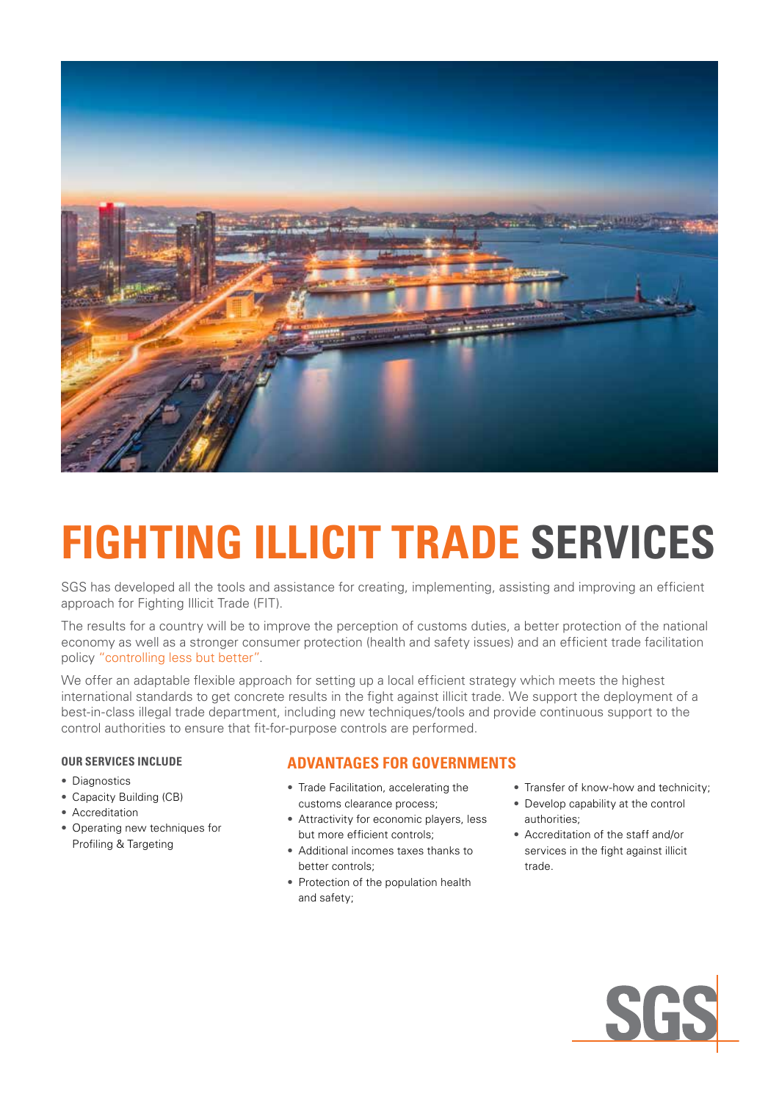

# **FIGHTING ILLICIT TRADE SERVICES**

SGS has developed all the tools and assistance for creating, implementing, assisting and improving an efficient approach for Fighting Illicit Trade (FIT).

The results for a country will be to improve the perception of customs duties, a better protection of the national economy as well as a stronger consumer protection (health and safety issues) and an efficient trade facilitation policy "controlling less but better".

We offer an adaptable flexible approach for setting up a local efficient strategy which meets the highest international standards to get concrete results in the fight against illicit trade. We support the deployment of a best-in-class illegal trade department, including new techniques/tools and provide continuous support to the control authorities to ensure that fit-for-purpose controls are performed.

## **OUR SERVICES INCLUDE**

- Diagnostics
- Capacity Building (CB)
- Accreditation
- Operating new techniques for Profiling & Targeting

## **ADVANTAGES FOR GOVERNMENTS**

- Trade Facilitation, accelerating the customs clearance process;
- Attractivity for economic players, less but more efficient controls;
- Additional incomes taxes thanks to better controls;
- Protection of the population health and safety;
- Transfer of know-how and technicity;
- Develop capability at the control authorities;
- Accreditation of the staff and/or services in the fight against illicit trade.